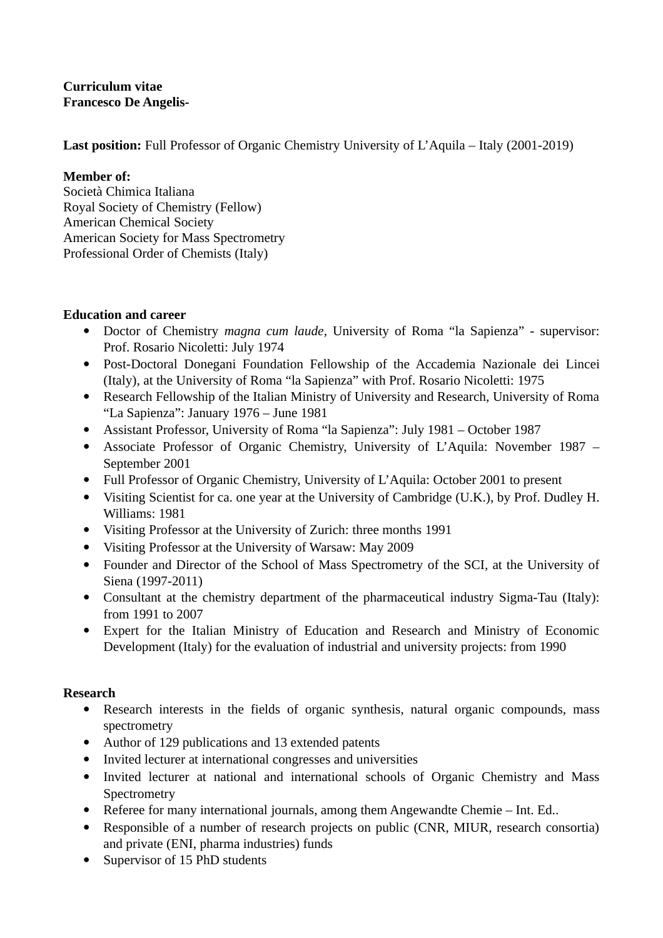**Curriculum vitae Francesco De Angelis-**

**Last position:** Full Professor of Organic Chemistry University of L'Aquila – Italy (2001-2019)

### **Member of:**

Società Chimica Italiana Royal Society of Chemistry (Fellow) American Chemical Society American Society for Mass Spectrometry Professional Order of Chemists (Italy)

## **Education and career**

- Doctor of Chemistry *magna cum laude*, University of Roma "la Sapienza" supervisor: Prof. Rosario Nicoletti: July 1974
- Post-Doctoral Donegani Foundation Fellowship of the Accademia Nazionale dei Lincei (Italy), at the University of Roma "la Sapienza" with Prof. Rosario Nicoletti: 1975
- Research Fellowship of the Italian Ministry of University and Research, University of Roma "La Sapienza": January 1976 – June 1981
- Assistant Professor, University of Roma "la Sapienza": July 1981 October 1987
- Associate Professor of Organic Chemistry, University of L'Aquila: November 1987 September 2001
- Full Professor of Organic Chemistry, University of L'Aquila: October 2001 to present
- Visiting Scientist for ca. one year at the University of Cambridge (U.K.), by Prof. Dudley H. Williams: 1981
- Visiting Professor at the University of Zurich: three months 1991
- Visiting Professor at the University of Warsaw: May 2009
- Founder and Director of the School of Mass Spectrometry of the SCI, at the University of Siena (1997-2011)
- Consultant at the chemistry department of the pharmaceutical industry Sigma-Tau (Italy): from 1991 to 2007
- Expert for the Italian Ministry of Education and Research and Ministry of Economic Development (Italy) for the evaluation of industrial and university projects: from 1990

## **Research**

- Research interests in the fields of organic synthesis, natural organic compounds, mass spectrometry
- Author of 129 publications and 13 extended patents
- Invited lecturer at international congresses and universities
- Invited lecturer at national and international schools of Organic Chemistry and Mass **Spectrometry**
- Referee for many international journals, among them Angewandte Chemie Int. Ed..
- Responsible of a number of research projects on public (CNR, MIUR, research consortia) and private (ENI, pharma industries) funds
- Supervisor of 15 PhD students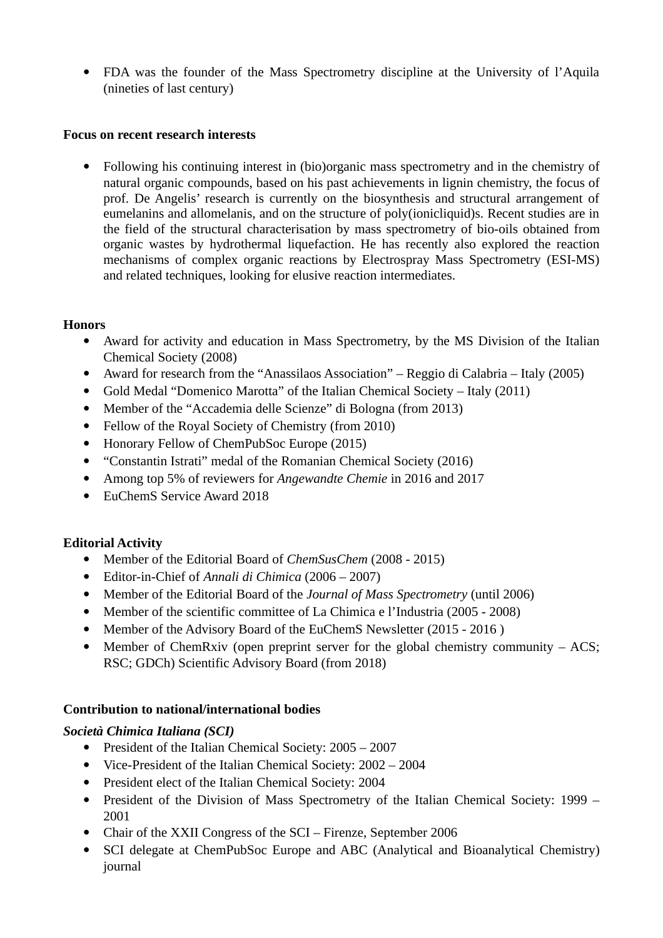FDA was the founder of the Mass Spectrometry discipline at the University of l'Aquila (nineties of last century)

#### **Focus on recent research interests**

 Following his continuing interest in (bio)organic mass spectrometry and in the chemistry of natural organic compounds, based on his past achievements in lignin chemistry, the focus of prof. De Angelis' research is currently on the biosynthesis and structural arrangement of eumelanins and allomelanis, and on the structure of poly(ionicliquid)s. Recent studies are in the field of the structural characterisation by mass spectrometry of bio-oils obtained from organic wastes by hydrothermal liquefaction. He has recently also explored the reaction mechanisms of complex organic reactions by Electrospray Mass Spectrometry (ESI-MS) and related techniques, looking for elusive reaction intermediates.

#### **Honors**

- Award for activity and education in Mass Spectrometry, by the MS Division of the Italian Chemical Society (2008)
- Award for research from the "Anassilaos Association" Reggio di Calabria Italy (2005)
- Gold Medal "Domenico Marotta" of the Italian Chemical Society Italy (2011)
- Member of the "Accademia delle Scienze" di Bologna (from 2013)
- Fellow of the Royal Society of Chemistry (from 2010)
- Honorary Fellow of ChemPubSoc Europe (2015)
- "Constantin Istrati" medal of the Romanian Chemical Society (2016)
- Among top 5% of reviewers for *Angewandte Chemie* in 2016 and 2017
- EuChemS Service Award 2018

#### **Editorial Activity**

- Member of the Editorial Board of *ChemSusChem* (2008 2015)
- Editor-in-Chief of *Annali di Chimica* (2006 2007)
- Member of the Editorial Board of the *Journal of Mass Spectrometry* (until 2006)
- Member of the scientific committee of La Chimica e l'Industria (2005 2008)
- Member of the Advisory Board of the EuChemS Newsletter (2015 2016)
- Member of ChemRxiv (open preprint server for the global chemistry community  $-$  ACS; RSC; GDCh) Scientific Advisory Board (from 2018)

#### **Contribution to national/international bodies**

#### *Società Chimica Italiana (SCI)*

- President of the Italian Chemical Society: 2005 2007
- Vice-President of the Italian Chemical Society: 2002 2004
- President elect of the Italian Chemical Society: 2004
- President of the Division of Mass Spectrometry of the Italian Chemical Society: 1999 2001
- Chair of the XXII Congress of the SCI Firenze, September 2006
- SCI delegate at ChemPubSoc Europe and ABC (Analytical and Bioanalytical Chemistry) journal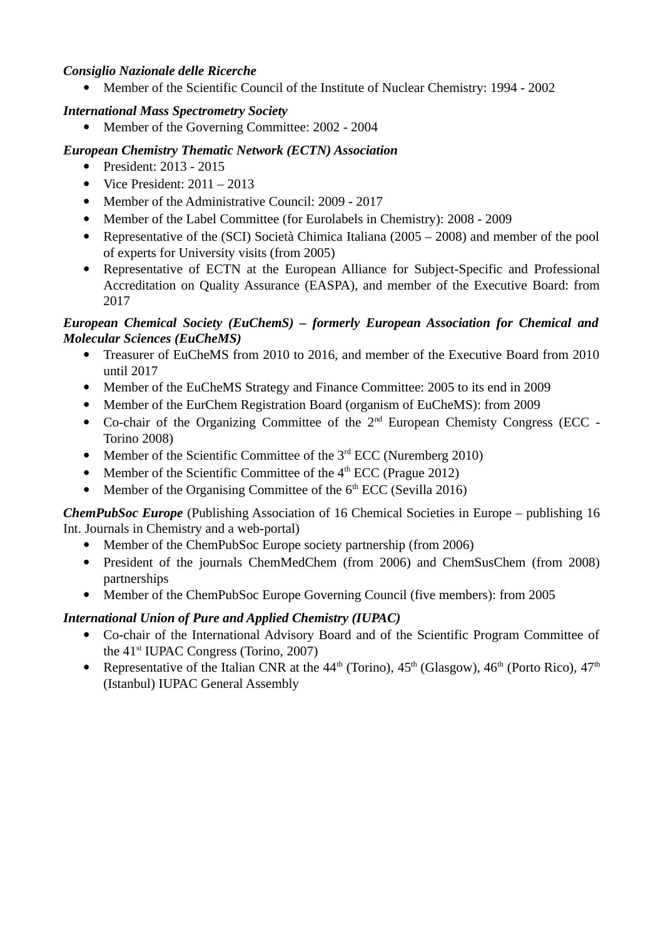#### *Consiglio Nazionale delle Ricerche*

Member of the Scientific Council of the Institute of Nuclear Chemistry: 1994 - 2002

### *International Mass Spectrometry Society*

Member of the Governing Committee: 2002 - 2004

## *European Chemistry Thematic Network (ECTN) Association*

- President: 2013 2015
- Vice President:  $2011 2013$
- Member of the Administrative Council: 2009 2017
- Member of the Label Committee (for Eurolabels in Chemistry): 2008 2009
- Representative of the (SCI) Società Chimica Italiana (2005 2008) and member of the pool of experts for University visits (from 2005)
- Representative of ECTN at the European Alliance for Subject-Specific and Professional Accreditation on Quality Assurance (EASPA), and member of the Executive Board: from 2017

### *European Chemical Society (EuChemS) – formerly European Association for Chemical and Molecular Sciences (EuCheMS)*

- Treasurer of EuCheMS from 2010 to 2016, and member of the Executive Board from 2010 until 2017
- Member of the EuCheMS Strategy and Finance Committee: 2005 to its end in 2009
- Member of the EurChem Registration Board (organism of EuCheMS): from 2009
- Co-chair of the Organizing Committee of the  $2<sup>nd</sup>$  European Chemisty Congress (ECC -Torino 2008)
- Member of the Scientific Committee of the  $3<sup>rd</sup>$  ECC (Nuremberg 2010)
- Member of the Scientific Committee of the  $4<sup>th</sup> ECC$  (Prague 2012)
- Member of the Organising Committee of the  $6<sup>th</sup> ECC$  (Sevilla 2016)

*ChemPubSoc Europe* (Publishing Association of 16 Chemical Societies in Europe – publishing 16 Int. Journals in Chemistry and a web-portal)

- Member of the ChemPubSoc Europe society partnership (from 2006)
- President of the journals ChemMedChem (from 2006) and ChemSusChem (from 2008) partnerships
- Member of the ChemPubSoc Europe Governing Council (five members): from 2005

# *International Union of Pure and Applied Chemistry (IUPAC)*

- Co-chair of the International Advisory Board and of the Scientific Program Committee of the  $41<sup>st</sup> IUPAC Congress$  (Torino, 2007)
- Representative of the Italian CNR at the  $44<sup>th</sup>$  (Torino),  $45<sup>th</sup>$  (Glasgow),  $46<sup>th</sup>$  (Porto Rico),  $47<sup>th</sup>$ (Istanbul) IUPAC General Assembly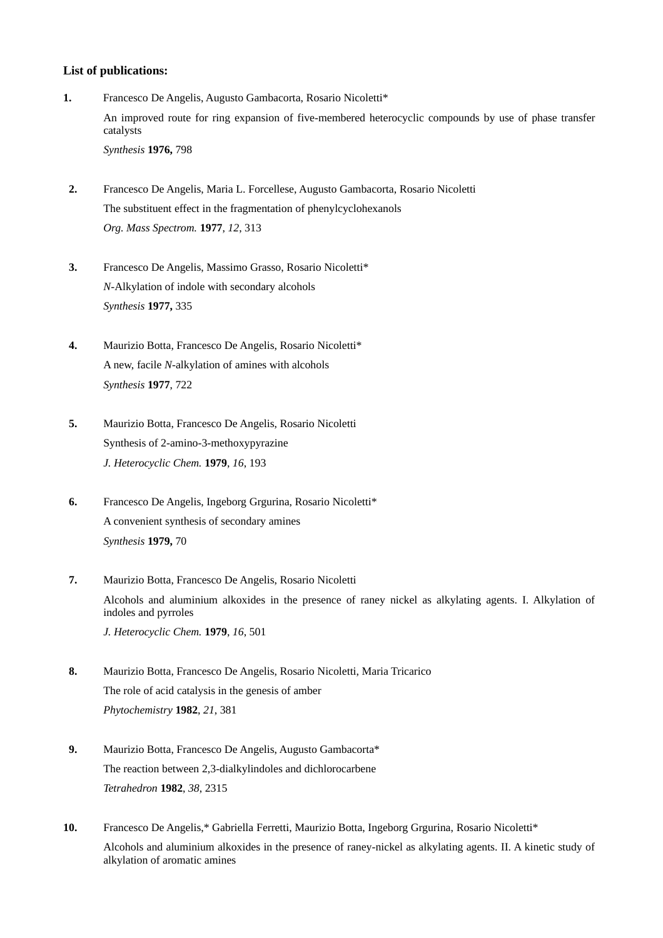#### **List of publications:**

- **1.** Francesco De Angelis, Augusto Gambacorta, Rosario Nicoletti\* An improved route for ring expansion of five-membered heterocyclic compounds by use of phase transfer catalysts *Synthesis* **1976,** 798
- **2.** Francesco De Angelis, Maria L. Forcellese, Augusto Gambacorta, Rosario Nicoletti The substituent effect in the fragmentation of phenylcyclohexanols *Org. Mass Spectrom.* **1977**, *12*, 313
- **3.** Francesco De Angelis, Massimo Grasso, Rosario Nicoletti\* *N*-Alkylation of indole with secondary alcohols *Synthesis* **1977,** 335
- **4.** Maurizio Botta, Francesco De Angelis, Rosario Nicoletti\* A new, facile *N*-alkylation of amines with alcohols *Synthesis* **1977**, 722
- **5.** Maurizio Botta, Francesco De Angelis, Rosario Nicoletti Synthesis of 2-amino-3-methoxypyrazine *J. Heterocyclic Chem.* **1979**, *16*, 193
- **6.** Francesco De Angelis, Ingeborg Grgurina, Rosario Nicoletti\* A convenient synthesis of secondary amines *Synthesis* **1979,** 70
- **7.** Maurizio Botta, Francesco De Angelis, Rosario Nicoletti Alcohols and aluminium alkoxides in the presence of raney nickel as alkylating agents. I. Alkylation of indoles and pyrroles *J. Heterocyclic Chem.* **1979**, *16*, 501
- **8.** Maurizio Botta, Francesco De Angelis, Rosario Nicoletti, Maria Tricarico The role of acid catalysis in the genesis of amber *Phytochemistry* **1982**, *21*, 381
- **9.** Maurizio Botta, Francesco De Angelis, Augusto Gambacorta\* The reaction between 2,3-dialkylindoles and dichlorocarbene *Tetrahedron* **1982**, *38*, 2315
- **10.** Francesco De Angelis,\* Gabriella Ferretti, Maurizio Botta, Ingeborg Grgurina, Rosario Nicoletti\* Alcohols and aluminium alkoxides in the presence of raney-nickel as alkylating agents. II. A kinetic study of alkylation of aromatic amines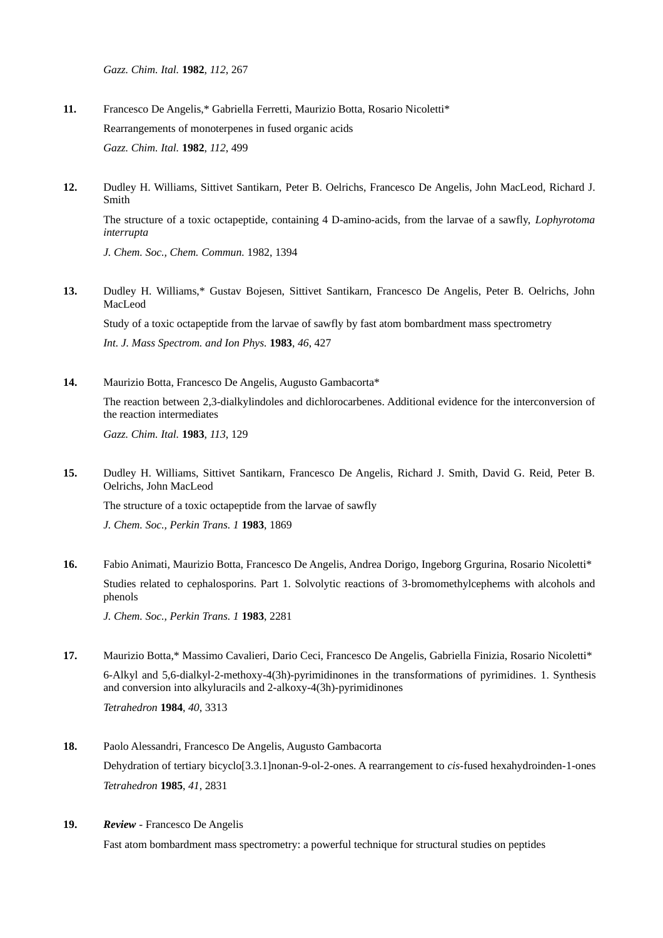*Gazz. Chim. Ital.* **1982**, *112*, 267

- **11.** Francesco De Angelis,\* Gabriella Ferretti, Maurizio Botta, Rosario Nicoletti\* Rearrangements of monoterpenes in fused organic acids *Gazz. Chim. Ital.* **1982**, *112*, 499
- **12.** Dudley H. Williams, Sittivet Santikarn, Peter B. Oelrichs, Francesco De Angelis, John MacLeod, Richard J. Smith

The structure of a toxic octapeptide, containing 4 D-amino-acids, from the larvae of a sawfly, *Lophyrotoma interrupta*

*J. Chem. Soc., Chem. Commun.* 1982, 1394

**13.** Dudley H. Williams,\* Gustav Bojesen, Sittivet Santikarn, Francesco De Angelis, Peter B. Oelrichs, John MacLeod

Study of a toxic octapeptide from the larvae of sawfly by fast atom bombardment mass spectrometry *Int. J. Mass Spectrom. and Ion Phys.* **1983**, *46*, 427

**14.** Maurizio Botta, Francesco De Angelis, Augusto Gambacorta\* The reaction between 2,3-dialkylindoles and dichlorocarbenes. Additional evidence for the interconversion of the reaction intermediates *Gazz. Chim. Ital.* **1983**, *113*, 129

**15.** Dudley H. Williams, Sittivet Santikarn, Francesco De Angelis, Richard J. Smith, David G. Reid, Peter B. Oelrichs, John MacLeod

The structure of a toxic octapeptide from the larvae of sawfly *J. Chem. Soc., Perkin Trans. 1* **1983**, 1869

**16.** Fabio Animati, Maurizio Botta, Francesco De Angelis, Andrea Dorigo, Ingeborg Grgurina, Rosario Nicoletti\* Studies related to cephalosporins. Part 1. Solvolytic reactions of 3-bromomethylcephems with alcohols and phenols

*J. Chem. Soc., Perkin Trans. 1* **1983**, 2281

**17.** Maurizio Botta,\* Massimo Cavalieri, Dario Ceci, Francesco De Angelis, Gabriella Finizia, Rosario Nicoletti\* 6-Alkyl and 5,6-dialkyl-2-methoxy-4(3h)-pyrimidinones in the transformations of pyrimidines. 1. Synthesis and conversion into alkyluracils and 2-alkoxy-4(3h)-pyrimidinones

*Tetrahedron* **1984**, *40*, 3313

- **18.** Paolo Alessandri, Francesco De Angelis, Augusto Gambacorta Dehydration of tertiary bicyclo[3.3.1]nonan-9-ol-2-ones. A rearrangement to *cis*-fused hexahydroinden-1-ones *Tetrahedron* **1985**, *41*, 2831
- **19.** *Review* Francesco De Angelis

Fast atom bombardment mass spectrometry: a powerful technique for structural studies on peptides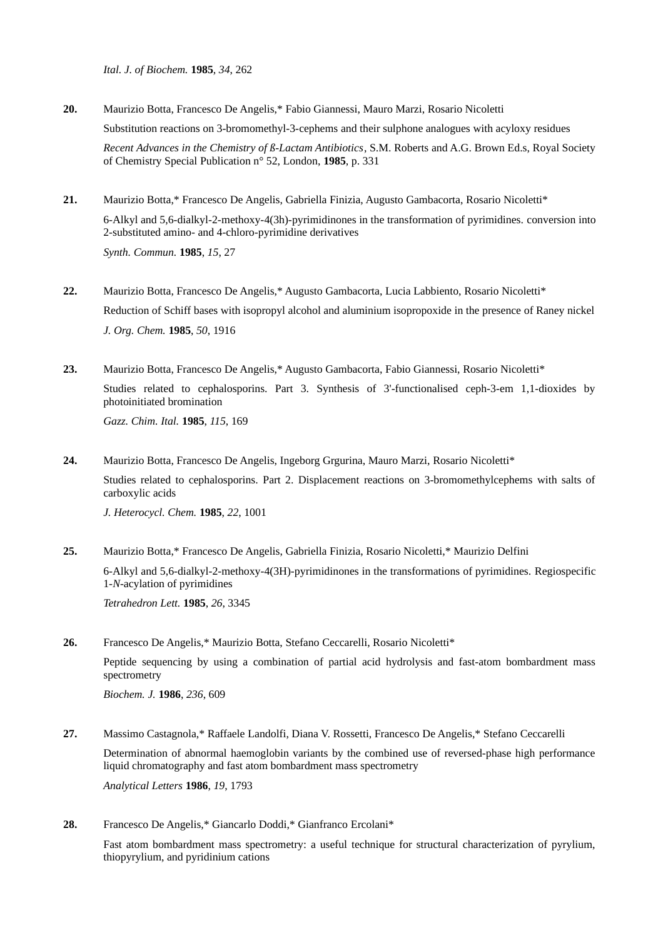*Ital. J. of Biochem.* **1985**, *34*, 262

- **20.** Maurizio Botta, Francesco De Angelis,\* Fabio Giannessi, Mauro Marzi, Rosario Nicoletti Substitution reactions on 3-bromomethyl-3-cephems and their sulphone analogues with acyloxy residues *Recent Advances in the Chemistry of ß-Lactam Antibiotics*, S.M. Roberts and A.G. Brown Ed.s, Royal Society of Chemistry Special Publication n° 52, London, **1985**, p. 331
- **21.** Maurizio Botta,\* Francesco De Angelis, Gabriella Finizia, Augusto Gambacorta, Rosario Nicoletti\* 6-Alkyl and 5,6-dialkyl-2-methoxy-4(3h)-pyrimidinones in the transformation of pyrimidines. conversion into 2-substituted amino- and 4-chloro-pyrimidine derivatives *Synth. Commun.* **1985**, *15*, 27
- **22.** Maurizio Botta, Francesco De Angelis,\* Augusto Gambacorta, Lucia Labbiento, Rosario Nicoletti\* Reduction of Schiff bases with isopropyl alcohol and aluminium isopropoxide in the presence of Raney nickel *J. Org. Chem.* **1985**, *50*, 1916
- **23.** Maurizio Botta, Francesco De Angelis,\* Augusto Gambacorta, Fabio Giannessi, Rosario Nicoletti\* Studies related to cephalosporins. Part 3. Synthesis of 3'-functionalised ceph-3-em 1,1-dioxides by photoinitiated bromination

*Gazz. Chim. Ital.* **1985**, *115*, 169

**24.** Maurizio Botta, Francesco De Angelis, Ingeborg Grgurina, Mauro Marzi, Rosario Nicoletti\* Studies related to cephalosporins. Part 2. Displacement reactions on 3-bromomethylcephems with salts of carboxylic acids

*J. Heterocycl. Chem.* **1985**, *22*, 1001

**25.** Maurizio Botta,\* Francesco De Angelis, Gabriella Finizia, Rosario Nicoletti,\* Maurizio Delfini 6-Alkyl and 5,6-dialkyl-2-methoxy-4(3H)-pyrimidinones in the transformations of pyrimidines. Regiospecific 1-*N*-acylation of pyrimidines

*Tetrahedron Lett.* **1985**, *26*, 3345

- **26.** Francesco De Angelis,\* Maurizio Botta, Stefano Ceccarelli, Rosario Nicoletti\* Peptide sequencing by using a combination of partial acid hydrolysis and fast-atom bombardment mass spectrometry *Biochem. J.* **1986**, *236*, 609
- **27.** Massimo Castagnola,\* Raffaele Landolfi, Diana V. Rossetti, Francesco De Angelis,\* Stefano Ceccarelli Determination of abnormal haemoglobin variants by the combined use of reversed-phase high performance liquid chromatography and fast atom bombardment mass spectrometry *Analytical Letters* **1986**, *19*, 1793
- **28.** Francesco De Angelis,\* Giancarlo Doddi,\* Gianfranco Ercolani\*

Fast atom bombardment mass spectrometry: a useful technique for structural characterization of pyrylium, thiopyrylium, and pyridinium cations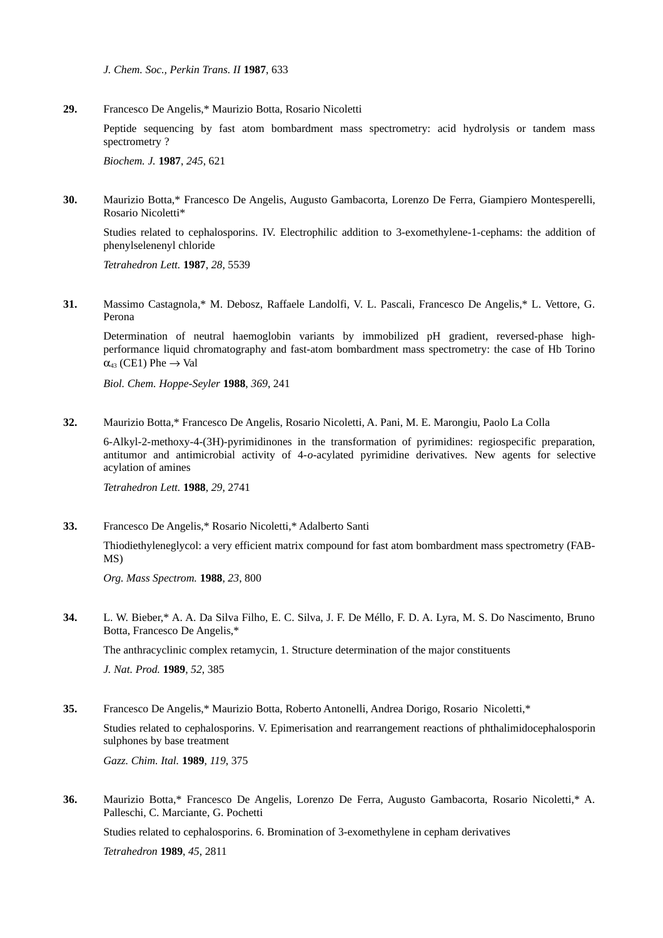*J. Chem. Soc., Perkin Trans. II* **1987**, 633

**29.** Francesco De Angelis,\* Maurizio Botta, Rosario Nicoletti

Peptide sequencing by fast atom bombardment mass spectrometry: acid hydrolysis or tandem mass spectrometry ?

*Biochem. J.* **1987**, *245*, 621

**30.** Maurizio Botta,\* Francesco De Angelis, Augusto Gambacorta, Lorenzo De Ferra, Giampiero Montesperelli, Rosario Nicoletti\*

Studies related to cephalosporins. IV. Electrophilic addition to 3-exomethylene-1-cephams: the addition of phenylselenenyl chloride

*Tetrahedron Lett.* **1987**, *28*, 5539

**31.** Massimo Castagnola,\* M. Debosz, Raffaele Landolfi, V. L. Pascali, Francesco De Angelis,\* L. Vettore, G. Perona

Determination of neutral haemoglobin variants by immobilized pH gradient, reversed-phase highperformance liquid chromatography and fast-atom bombardment mass spectrometry: the case of Hb Torino  $\alpha_{43}$  (CE1) Phe  $\rightarrow$  Val

*Biol. Chem. Hoppe-Seyler* **1988**, *369*, 241

**32.** Maurizio Botta,\* Francesco De Angelis, Rosario Nicoletti, A. Pani, M. E. Marongiu, Paolo La Colla

6-Alkyl-2-methoxy-4-(3H)-pyrimidinones in the transformation of pyrimidines: regiospecific preparation, antitumor and antimicrobial activity of 4-*o*-acylated pyrimidine derivatives. New agents for selective acylation of amines

*Tetrahedron Lett.* **1988**, *29*, 2741

**33.** Francesco De Angelis,\* Rosario Nicoletti,\* Adalberto Santi

Thiodiethyleneglycol: a very efficient matrix compound for fast atom bombardment mass spectrometry (FAB-MS)

*Org. Mass Spectrom.* **1988**, *23*, 800

**34.** L. W. Bieber,\* A. A. Da Silva Filho, E. C. Silva, J. F. De Méllo, F. D. A. Lyra, M. S. Do Nascimento, Bruno Botta, Francesco De Angelis,\*

The anthracyclinic complex retamycin, 1. Structure determination of the major constituents

*J. Nat. Prod.* **1989**, *52*, 385

**35.** Francesco De Angelis,\* Maurizio Botta, Roberto Antonelli, Andrea Dorigo, Rosario Nicoletti,\* Studies related to cephalosporins. V. Epimerisation and rearrangement reactions of phthalimidocephalosporin sulphones by base treatment

*Gazz. Chim. Ital.* **1989**, *119*, 375

**36.** Maurizio Botta,\* Francesco De Angelis, Lorenzo De Ferra, Augusto Gambacorta, Rosario Nicoletti,\* A. Palleschi, C. Marciante, G. Pochetti

Studies related to cephalosporins. 6. Bromination of 3-exomethylene in cepham derivatives *Tetrahedron* **1989**, *45*, 2811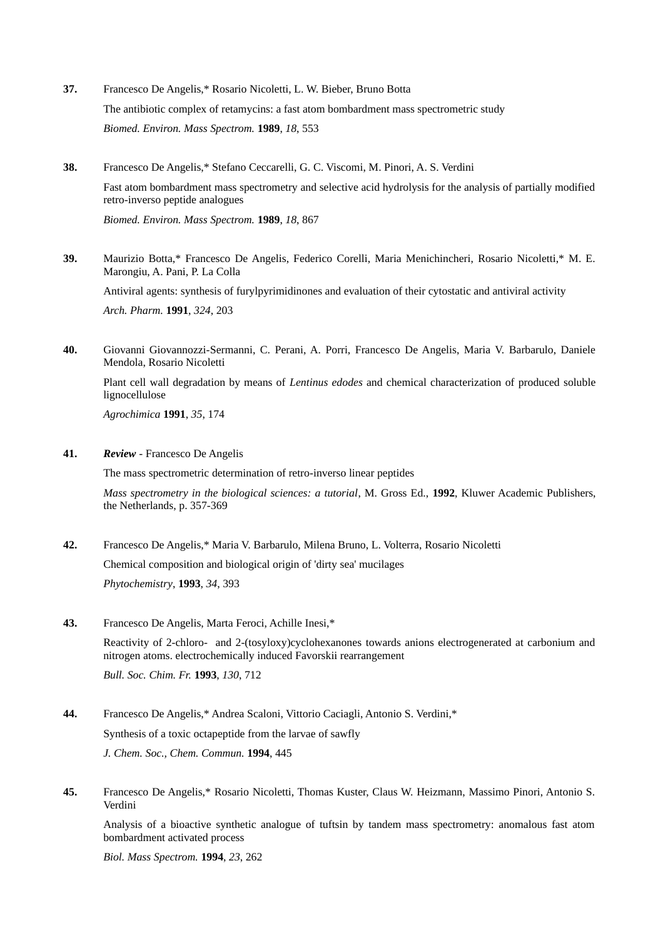- **37.** Francesco De Angelis,\* Rosario Nicoletti, L. W. Bieber, Bruno Botta The antibiotic complex of retamycins: a fast atom bombardment mass spectrometric study *Biomed. Environ. Mass Spectrom.* **1989**, *18*, 553
- **38.** Francesco De Angelis,\* Stefano Ceccarelli, G. C. Viscomi, M. Pinori, A. S. Verdini Fast atom bombardment mass spectrometry and selective acid hydrolysis for the analysis of partially modified retro-inverso peptide analogues *Biomed. Environ. Mass Spectrom.* **1989**, *18*, 867
- **39.** Maurizio Botta,\* Francesco De Angelis, Federico Corelli, Maria Menichincheri, Rosario Nicoletti,\* M. E. Marongiu, A. Pani, P. La Colla Antiviral agents: synthesis of furylpyrimidinones and evaluation of their cytostatic and antiviral activity *Arch. Pharm.* **1991**, *324*, 203
- **40.** Giovanni Giovannozzi-Sermanni, C. Perani, A. Porri, Francesco De Angelis, Maria V. Barbarulo, Daniele Mendola, Rosario Nicoletti

Plant cell wall degradation by means of *Lentinus edodes* and chemical characterization of produced soluble lignocellulose

*Agrochimica* **1991**, *35*, 174

**41.** *Review* - Francesco De Angelis

The mass spectrometric determination of retro-inverso linear peptides

*Mass spectrometry in the biological sciences: a tutorial*, M. Gross Ed., **1992**, Kluwer Academic Publishers, the Netherlands, p. 357-369

**42.** Francesco De Angelis,\* Maria V. Barbarulo, Milena Bruno, L. Volterra, Rosario Nicoletti

Chemical composition and biological origin of 'dirty sea' mucilages

*Phytochemistry*, **1993**, *34*, 393

**43.** Francesco De Angelis, Marta Feroci, Achille Inesi,\*

Reactivity of 2-chloro- and 2-(tosyloxy)cyclohexanones towards anions electrogenerated at carbonium and nitrogen atoms. electrochemically induced Favorskii rearrangement

*Bull. Soc. Chim. Fr.* **1993**, *130*, 712

- **44.** Francesco De Angelis,\* Andrea Scaloni, Vittorio Caciagli, Antonio S. Verdini,\* Synthesis of a toxic octapeptide from the larvae of sawfly *J. Chem. Soc., Chem. Commun.* **1994**, 445
- **45.** Francesco De Angelis,\* Rosario Nicoletti, Thomas Kuster, Claus W. Heizmann, Massimo Pinori, Antonio S. Verdini

Analysis of a bioactive synthetic analogue of tuftsin by tandem mass spectrometry: anomalous fast atom bombardment activated process

*Biol. Mass Spectrom.* **1994**, *23*, 262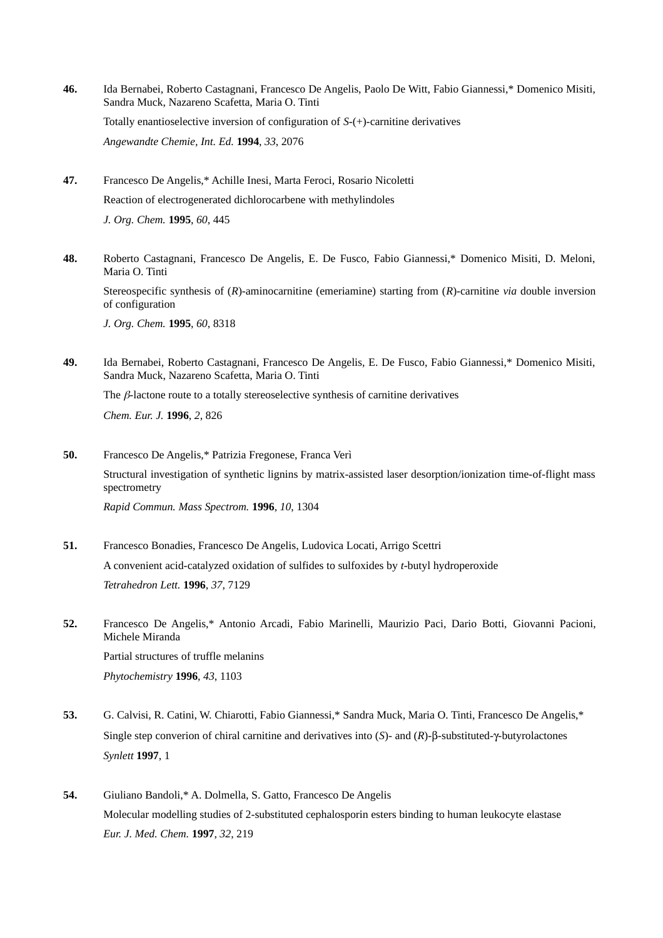- **46.** Ida Bernabei, Roberto Castagnani, Francesco De Angelis, Paolo De Witt, Fabio Giannessi,\* Domenico Misiti, Sandra Muck, Nazareno Scafetta, Maria O. Tinti Totally enantioselective inversion of configuration of *S*-(+)-carnitine derivatives *Angewandte Chemie, Int. Ed.* **1994**, *33*, 2076
- **47.** Francesco De Angelis,\* Achille Inesi, Marta Feroci, Rosario Nicoletti Reaction of electrogenerated dichlorocarbene with methylindoles *J. Org. Chem.* **1995**, *60*, 445
- **48.** Roberto Castagnani, Francesco De Angelis, E. De Fusco, Fabio Giannessi,\* Domenico Misiti, D. Meloni, Maria O. Tinti Stereospecific synthesis of (*R*)-aminocarnitine (emeriamine) starting from (*R*)-carnitine *via* double inversion of configuration *J. Org. Chem.* **1995**, *60*, 8318
- **49.** Ida Bernabei, Roberto Castagnani, Francesco De Angelis, E. De Fusco, Fabio Giannessi,\* Domenico Misiti, Sandra Muck, Nazareno Scafetta, Maria O. Tinti The  $\beta$ -lactone route to a totally stereoselective synthesis of carnitine derivatives *Chem. Eur. J.* **1996**, *2*, 826
- **50.** Francesco De Angelis,\* Patrizia Fregonese, Franca Verì Structural investigation of synthetic lignins by matrix-assisted laser desorption/ionization time-of-flight mass spectrometry *Rapid Commun. Mass Spectrom.* **1996**, *10*, 1304
- **51.** Francesco Bonadies, Francesco De Angelis, Ludovica Locati, Arrigo Scettri A convenient acid-catalyzed oxidation of sulfides to sulfoxides by *t*-butyl hydroperoxide *Tetrahedron Lett.* **1996**, *37*, 7129
- **52.** Francesco De Angelis,\* Antonio Arcadi, Fabio Marinelli, Maurizio Paci, Dario Botti, Giovanni Pacioni, Michele Miranda Partial structures of truffle melanins *Phytochemistry* **1996**, *43*, 1103
- **53.** G. Calvisi, R. Catini, W. Chiarotti, Fabio Giannessi,\* Sandra Muck, Maria O. Tinti, Francesco De Angelis,\* Single step converion of chiral carnitine and derivatives into (*S*)- and (*R*)-β-substituted-γ-butyrolactones *Synlett* **1997**, 1
- **54.** Giuliano Bandoli,\* A. Dolmella, S. Gatto, Francesco De Angelis Molecular modelling studies of 2-substituted cephalosporin esters binding to human leukocyte elastase *Eur. J. Med. Chem.* **1997**, *32*, 219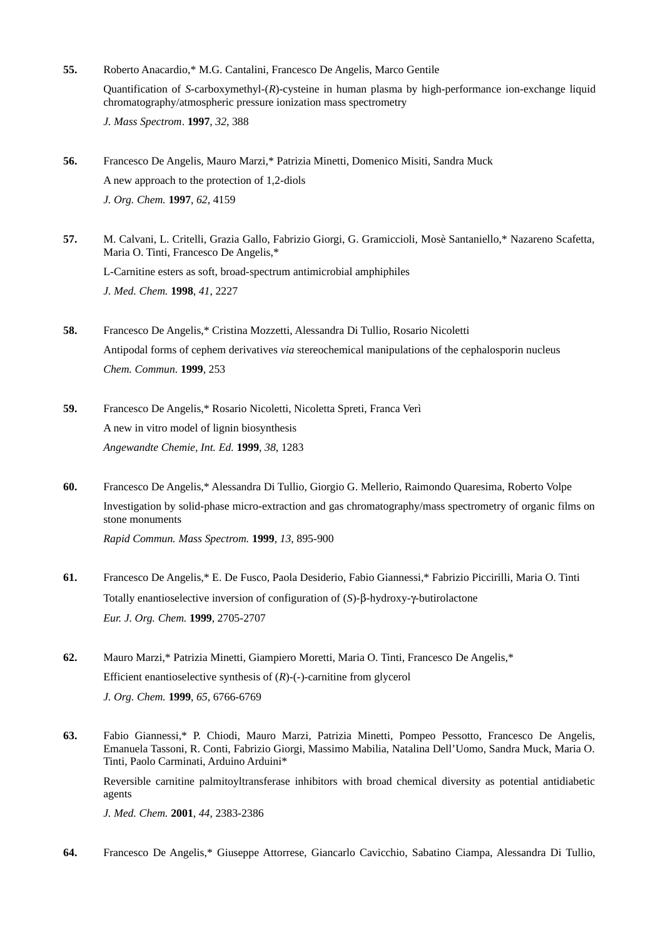- **55.** Roberto Anacardio,\* M.G. Cantalini, Francesco De Angelis, Marco Gentile Quantification of *S*-carboxymethyl-(*R*)-cysteine in human plasma by high-performance ion-exchange liquid chromatography/atmospheric pressure ionization mass spectrometry *J. Mass Spectrom*. **1997**, *32*, 388
- **56.** Francesco De Angelis, Mauro Marzi,\* Patrizia Minetti, Domenico Misiti, Sandra Muck A new approach to the protection of 1,2-diols *J. Org. Chem.* **1997**, *62*, 4159
- **57.** M. Calvani, L. Critelli, Grazia Gallo, Fabrizio Giorgi, G. Gramiccioli, Mosè Santaniello,\* Nazareno Scafetta, Maria O. Tinti, Francesco De Angelis,\* L-Carnitine esters as soft, broad-spectrum antimicrobial amphiphiles *J. Med. Chem.* **1998**, *41*, 2227
- **58.** Francesco De Angelis,\* Cristina Mozzetti, Alessandra Di Tullio, Rosario Nicoletti Antipodal forms of cephem derivatives *via* stereochemical manipulations of the cephalosporin nucleus *Chem. Commun.* **1999**, 253
- **59.** Francesco De Angelis,\* Rosario Nicoletti, Nicoletta Spreti, Franca Verì A new in vitro model of lignin biosynthesis *Angewandte Chemie, Int. Ed.* **1999**, *38*, 1283
- **60.** Francesco De Angelis,\* Alessandra Di Tullio, Giorgio G. Mellerio, Raimondo Quaresima, Roberto Volpe Investigation by solid-phase micro-extraction and gas chromatography/mass spectrometry of organic films on stone monuments *Rapid Commun. Mass Spectrom.* **1999**, *13*, 895-900
- **61.** Francesco De Angelis,\* E. De Fusco, Paola Desiderio, Fabio Giannessi,\* Fabrizio Piccirilli, Maria O. Tinti Totally enantioselective inversion of configuration of (*S*)- $\beta$ -hydroxy- $\gamma$ -butirolactone *Eur. J. Org. Chem.* **1999**, 2705-2707
- **62.** Mauro Marzi,\* Patrizia Minetti, Giampiero Moretti, Maria O. Tinti, Francesco De Angelis,\* Efficient enantioselective synthesis of (*R*)-(-)-carnitine from glycerol *J. Org. Chem.* **1999**, *65*, 6766-6769
- **63.** Fabio Giannessi,\* P. Chiodi, Mauro Marzi, Patrizia Minetti, Pompeo Pessotto, Francesco De Angelis, Emanuela Tassoni, R. Conti, Fabrizio Giorgi, Massimo Mabilia, Natalina Dell'Uomo, Sandra Muck, Maria O. Tinti, Paolo Carminati, Arduino Arduini\*

Reversible carnitine palmitoyltransferase inhibitors with broad chemical diversity as potential antidiabetic agents

*J. Med. Chem.* **2001**, *44*, 2383-2386

**64.** Francesco De Angelis,\* Giuseppe Attorrese, Giancarlo Cavicchio, Sabatino Ciampa, Alessandra Di Tullio,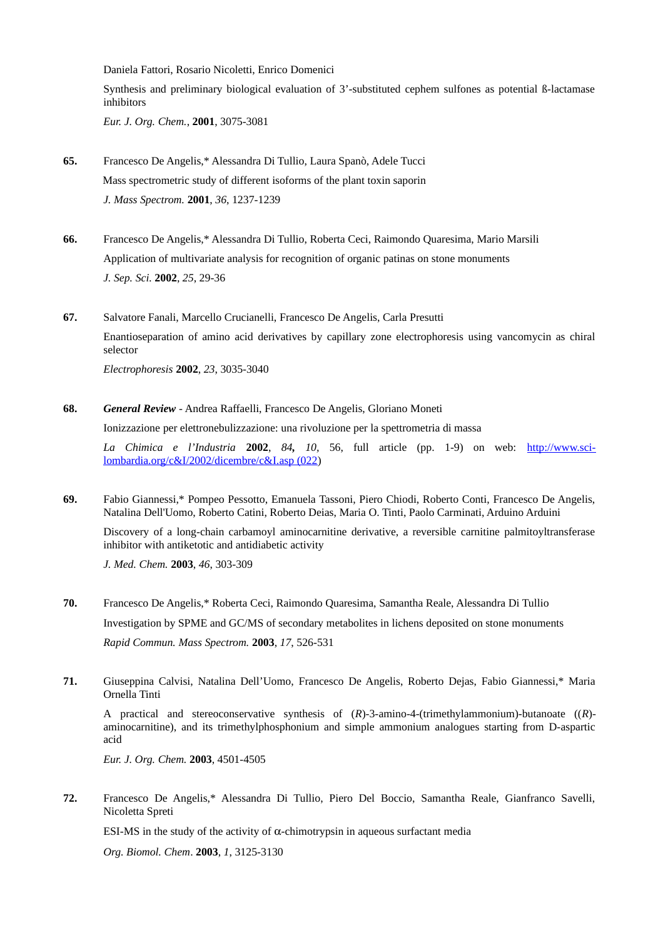Daniela Fattori, Rosario Nicoletti, Enrico Domenici Synthesis and preliminary biological evaluation of 3'-substituted cephem sulfones as potential ß-lactamase

inhibitors *Eur. J. Org. Chem.*, **2001**, 3075-3081

- **65.** Francesco De Angelis,\* Alessandra Di Tullio, Laura Spanò, Adele Tucci Mass spectrometric study of different isoforms of the plant toxin saporin *J. Mass Spectrom.* **2001**, *36*, 1237-1239
- **66.** Francesco De Angelis,\* Alessandra Di Tullio, Roberta Ceci, Raimondo Quaresima, Mario Marsili Application of multivariate analysis for recognition of organic patinas on stone monuments *J. Sep. Sci.* **2002**, *25*, 29-36
- **67.** Salvatore Fanali, Marcello Crucianelli, Francesco De Angelis, Carla Presutti Enantioseparation of amino acid derivatives by capillary zone electrophoresis using vancomycin as chiral selector *Electrophoresis* **2002**, *23*, 3035-3040

**68.** *General Review* - Andrea Raffaelli, Francesco De Angelis, Gloriano Moneti

Ionizzazione per elettronebulizzazione: una rivoluzione per la spettrometria di massa

*La Chimica e l'Industria* **2002**, *84, 10,* 56, full article (pp. 1-9) on web: [http://www.sci](http://www.sci-lombardia.org/c&I/2002/dicembre/c&I.asp%20(022)[lombardia.org/c&I/2002/dicembre/c&I.asp \(022\)](http://www.sci-lombardia.org/c&I/2002/dicembre/c&I.asp%20(022)

**69.** Fabio Giannessi,\* Pompeo Pessotto, Emanuela Tassoni, Piero Chiodi, Roberto Conti, Francesco De Angelis, Natalina Dell'Uomo, Roberto Catini, Roberto Deias, Maria O. Tinti, Paolo Carminati, Arduino Arduini

Discovery of a long-chain carbamoyl aminocarnitine derivative, a reversible carnitine palmitoyltransferase inhibitor with antiketotic and antidiabetic activity

*J. Med. Chem.* **2003**, *46*, 303-309

- **70.** Francesco De Angelis,\* Roberta Ceci, Raimondo Quaresima, Samantha Reale, Alessandra Di Tullio Investigation by SPME and GC/MS of secondary metabolites in lichens deposited on stone monuments *Rapid Commun. Mass Spectrom.* **2003**, *17*, 526-531
- **71.** Giuseppina Calvisi, Natalina Dell'Uomo, Francesco De Angelis, Roberto Dejas, Fabio Giannessi,\* Maria Ornella Tinti

A practical and stereoconservative synthesis of (*R*)-3-amino-4-(trimethylammonium)-butanoate ((*R*) aminocarnitine), and its trimethylphosphonium and simple ammonium analogues starting from D-aspartic acid

*Eur. J. Org. Chem.* **2003**, 4501-4505

**72.** Francesco De Angelis,\* Alessandra Di Tullio, Piero Del Boccio, Samantha Reale, Gianfranco Savelli, Nicoletta Spreti

ESI-MS in the study of the activity of  $\alpha$ -chimotrypsin in aqueous surfactant media

*Org. Biomol. Chem*. **2003**, *1*, 3125-3130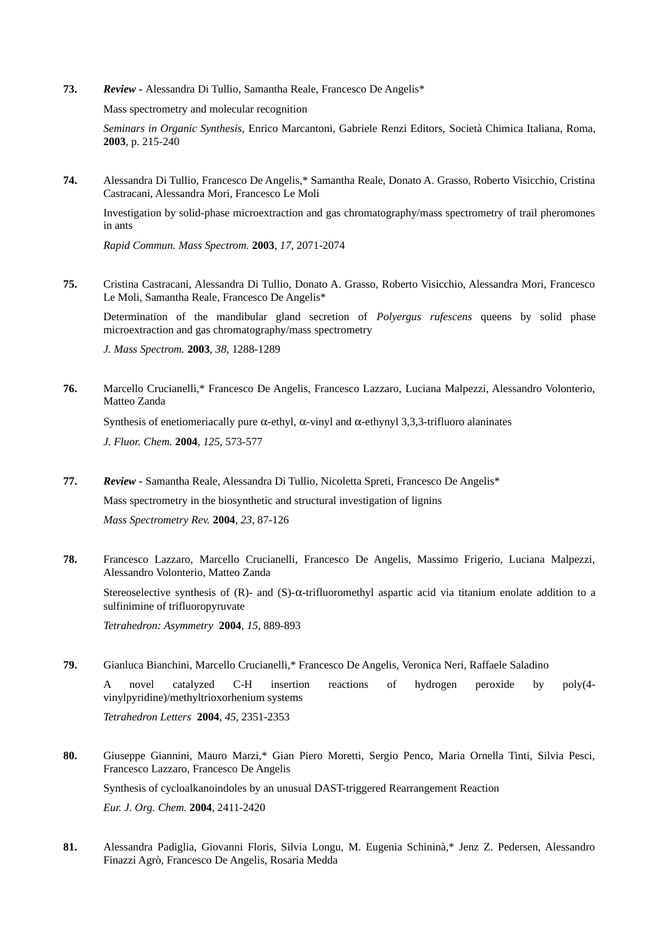**73.** *Review -* Alessandra Di Tullio, Samantha Reale, Francesco De Angelis\*

Mass spectrometry and molecular recognition

*Seminars in Organic Synthesis,* Enrico Marcantoni, Gabriele Renzi Editors, Società Chimica Italiana, Roma, **2003**, p. 215-240

**74.** Alessandra Di Tullio, Francesco De Angelis,\* Samantha Reale, Donato A. Grasso, Roberto Visicchio, Cristina Castracani, Alessandra Mori, Francesco Le Moli

Investigation by solid-phase microextraction and gas chromatography/mass spectrometry of trail pheromones in ants

*Rapid Commun. Mass Spectrom.* **2003**, *17*, 2071-2074

**75.** Cristina Castracani, Alessandra Di Tullio, Donato A. Grasso, Roberto Visicchio, Alessandra Mori, Francesco Le Moli, Samantha Reale, Francesco De Angelis\*

Determination of the mandibular gland secretion of *Polyergus rufescens* queens by solid phase microextraction and gas chromatography/mass spectrometry

*J. Mass Spectrom.* **2003**, *38*, 1288-1289

**76.** Marcello Crucianelli,\* Francesco De Angelis, Francesco Lazzaro, Luciana Malpezzi, Alessandro Volonterio, Matteo Zanda Synthesis of enetiomeriacally pure  $\alpha$ -ethyl,  $\alpha$ -vinyl and  $\alpha$ -ethynyl 3,3,3-trifluoro alaninates

*J. Fluor. Chem.* **2004**, *125*, 573-577

- **77.** *Review* Samantha Reale, Alessandra Di Tullio, Nicoletta Spreti, Francesco De Angelis\* Mass spectrometry in the biosynthetic and structural investigation of lignins *Mass Spectrometry Rev.* **2004**, *23*, 87-126
- **78.** Francesco Lazzaro, Marcello Crucianelli, Francesco De Angelis, Massimo Frigerio, Luciana Malpezzi, Alessandro Volonterio, Matteo Zanda

Stereoselective synthesis of  $(R)$ - and  $(S)$ - $\alpha$ -trifluoromethyl aspartic acid via titanium enolate addition to a sulfinimine of trifluoropyruvate

*Tetrahedron: Asymmetry* **2004**, *15*, 889-893

**79.** Gianluca Bianchini, Marcello Crucianelli,\* Francesco De Angelis, Veronica Neri, Raffaele Saladino A novel catalyzed C-H insertion reactions of hydrogen peroxide by poly(4-

vinylpyridine)/methyltrioxorhenium systems

*Tetrahedron Letters* **2004**, *45*, 2351-2353

- **80.** Giuseppe Giannini, Mauro Marzi,\* Gian Piero Moretti, Sergio Penco, Maria Ornella Tinti, Silvia Pesci, Francesco Lazzaro, Francesco De Angelis Synthesis of cycloalkanoindoles by an unusual DAST-triggered Rearrangement Reaction *Eur. J. Org. Chem.* **2004**, 2411-2420
- **81.** Alessandra Padiglia, Giovanni Floris, Silvia Longu, M. Eugenia Schininà,\* Jenz Z. Pedersen, Alessandro Finazzi Agrò, Francesco De Angelis, Rosaria Medda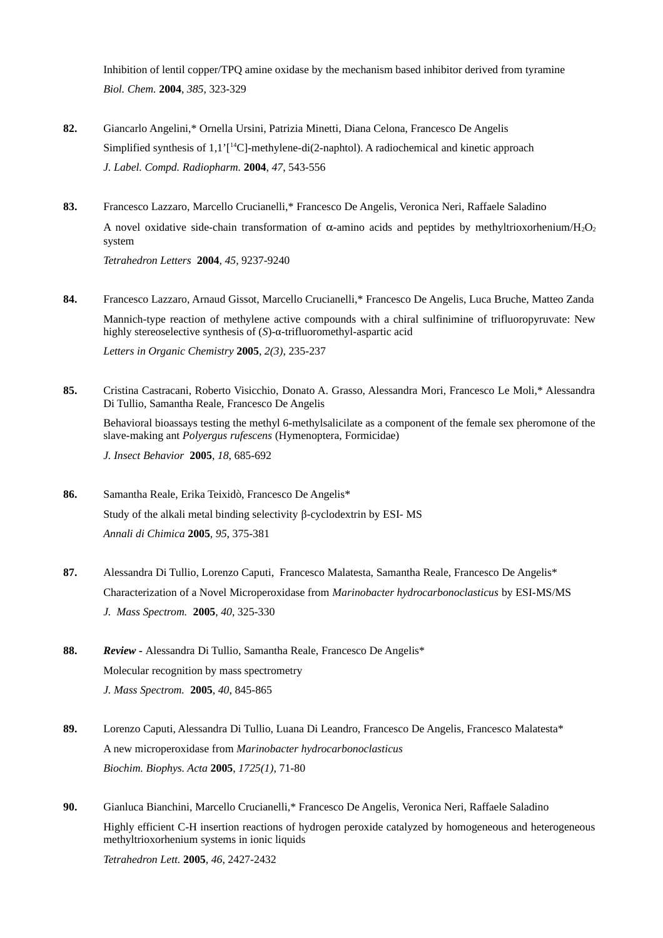Inhibition of lentil copper/TPQ amine oxidase by the mechanism based inhibitor derived from tyramine *Biol. Chem.* **2004**, *385*, 323-329

- **82.** Giancarlo Angelini,\* Ornella Ursini, Patrizia Minetti, Diana Celona, Francesco De Angelis Simplified synthesis of  $1.1$ <sup> $\text{T}$ 14</sup>C]-methylene-di(2-naphtol). A radiochemical and kinetic approach *J. Label. Compd. Radiopharm.* **2004**, *47*, 543-556
- **83.** Francesco Lazzaro, Marcello Crucianelli,\* Francesco De Angelis, Veronica Neri, Raffaele Saladino A novel oxidative side-chain transformation of  $\alpha$ -amino acids and peptides by methyltrioxorhenium/H<sub>2</sub>O<sub>2</sub> system *Tetrahedron Letters* **2004**, *45*, 9237-9240
- **84.** Francesco Lazzaro, Arnaud Gissot, Marcello Crucianelli,\* Francesco De Angelis, Luca Bruche, Matteo Zanda Mannich-type reaction of methylene active compounds with a chiral sulfinimine of trifluoropyruvate: New highly stereoselective synthesis of (*S*)-α-trifluoromethyl-aspartic acid *Letters in Organic Chemistry* **2005**, *2(3)*, 235-237
- **85.** Cristina Castracani, Roberto Visicchio, Donato A. Grasso, Alessandra Mori, Francesco Le Moli,\* Alessandra Di Tullio, Samantha Reale, Francesco De Angelis Behavioral bioassays testing the methyl 6-methylsalicilate as a component of the female sex pheromone of the slave-making ant *Polyergus rufescens* (Hymenoptera, Formicidae) *J. Insect Behavior* **2005**, *18*, 685-692
- **86.** Samantha Reale, Erika Teixidò, Francesco De Angelis\* Study of the alkali metal binding selectivity β-cyclodextrin by ESI- MS *Annali di Chimica* **2005**, *95*, 375-381
- **87.** Alessandra Di Tullio, Lorenzo Caputi, Francesco Malatesta, Samantha Reale, Francesco De Angelis\* Characterization of a Novel Microperoxidase from *Marinobacter hydrocarbonoclasticus* by ESI-MS/MS *J. Mass Spectrom.* **2005**, *40*, 325-330
- **88.** *Review -* Alessandra Di Tullio, Samantha Reale, Francesco De Angelis\* Molecular recognition by mass spectrometry *J. Mass Spectrom.* **2005**, *40*, 845-865
- **89.** Lorenzo Caputi, Alessandra Di Tullio, Luana Di Leandro, Francesco De Angelis, Francesco Malatesta\* A new microperoxidase from *Marinobacter hydrocarbonoclasticus Biochim. Biophys. Acta* **2005**, *1725(1)*, 71-80
- **90.** Gianluca Bianchini, Marcello Crucianelli,\* Francesco De Angelis, Veronica Neri, Raffaele Saladino Highly efficient C-H insertion reactions of hydrogen peroxide catalyzed by homogeneous and heterogeneous methyltrioxorhenium systems in ionic liquids *Tetrahedron Lett.* **2005**, *46*, 2427-2432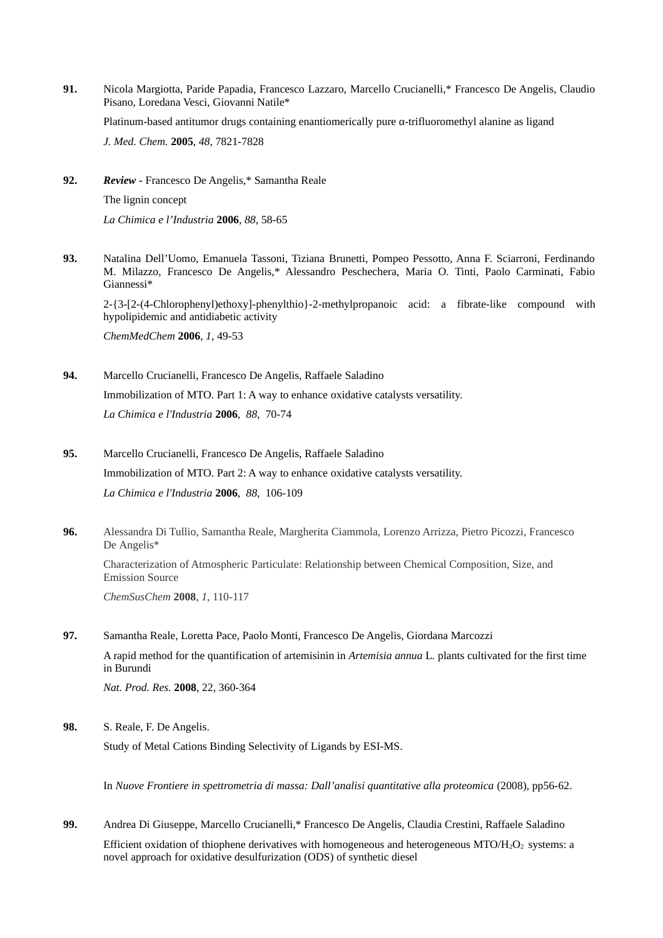**91.** Nicola Margiotta, Paride Papadia, Francesco Lazzaro, Marcello Crucianelli,\* Francesco De Angelis, Claudio Pisano, Loredana Vesci, Giovanni Natile\*

Platinum-based antitumor drugs containing enantiomerically pure α-trifluoromethyl alanine as ligand

*J. Med. Chem.* **2005**, *48*, 7821-7828

**92.** *Review -* Francesco De Angelis,\* Samantha Reale The lignin concept *La Chimica e l'Industria* **2006**, *88*, 58-65

**93.** Natalina Dell'Uomo, Emanuela Tassoni, Tiziana Brunetti, Pompeo Pessotto, Anna F. Sciarroni, Ferdinando M. Milazzo, Francesco De Angelis,\* Alessandro Peschechera, Maria O. Tinti, Paolo Carminati, Fabio Giannessi\*

2-{3-[2-(4-Chlorophenyl)ethoxy]-phenylthio}-2-methylpropanoic acid: a fibrate-like compound with hypolipidemic and antidiabetic activity

*ChemMedChem* **2006**, *1*, 49-53

**94.** Marcello Crucianelli, Francesco De Angelis, Raffaele Saladino Immobilization of MTO. Part 1: A way to enhance oxidative catalysts versatility. *La Chimica e l'Industria* **2006**, *88*, 70-74

- **95.** Marcello Crucianelli, Francesco De Angelis, Raffaele Saladino Immobilization of MTO. Part 2: A way to enhance oxidative catalysts versatility. *La Chimica e l'Industria* **2006**, *88*, 106-109
- **96.** Alessandra Di Tullio, Samantha Reale, Margherita Ciammola, Lorenzo Arrizza, Pietro Picozzi, Francesco De Angelis\* Characterization of Atmospheric Particulate: Relationship between Chemical Composition, Size, and Emission Source *ChemSusChem* **2008**, *1*, 110-117

**97.** Samantha Reale, Loretta Pace, Paolo Monti, Francesco De Angelis, Giordana Marcozzi A rapid method for the quantification of artemisinin in *Artemisia annua* L*.* plants cultivated for the first time in Burundi *Nat. Prod. Res.* **2008**, 22, 360-364

**98.** S. Reale, F. De Angelis.

Study of Metal Cations Binding Selectivity of Ligands by ESI-MS.

In *Nuove Frontiere in spettrometria di massa: Dall'analisi quantitative alla proteomica* (2008), pp56-62.

**99.** Andrea Di Giuseppe, Marcello Crucianelli,\* Francesco De Angelis, Claudia Crestini, Raffaele Saladino Efficient oxidation of thiophene derivatives with homogeneous and heterogeneous MTO/H<sub>2</sub>O<sub>2</sub> systems: a novel approach for oxidative desulfurization (ODS) of synthetic diesel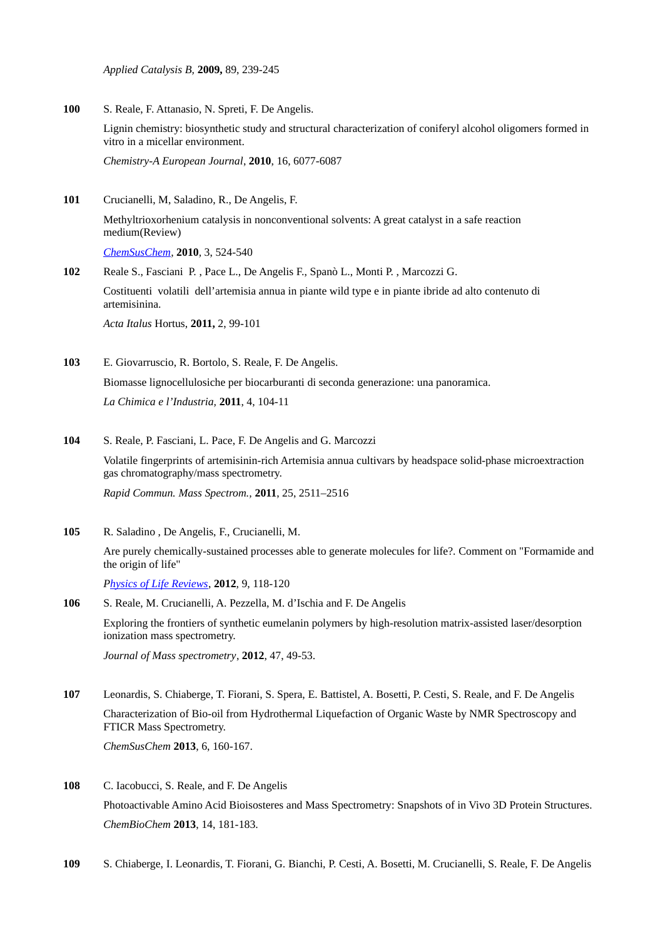*Applied Catalysis B,* **2009,** 89, 239-245

**100** S. Reale, F. Attanasio, N. Spreti, F. De Angelis.

Lignin chemistry: biosynthetic study and structural characterization of coniferyl alcohol oligomers formed in vitro in a micellar environment.

*Chemistry-A European Journal*, **2010**, 16, 6077-6087

**101** Crucianelli, M, Saladino, R., De Angelis, F.

Methyltrioxorhenium catalysis in nonconventional solvents: A great catalyst in a safe reaction medium(Review)

*[ChemSusChem,](https://www.scopus.com/sourceid/12000154478?origin=recordpage)* **2010***,* 3, 524-540

- **102** Reale S., Fasciani P. , Pace L., De Angelis F., Spanò L., Monti P. , Marcozzi G. Costituenti volatili dell'artemisia annua in piante wild type e in piante ibride ad alto contenuto di artemisinina. *Acta Italus* Hortus, **2011,** 2, 99-101
- **103** E. Giovarruscio, R. Bortolo, S. Reale, F. De Angelis. Biomasse lignocellulosiche per biocarburanti di seconda generazione: una panoramica. *La Chimica e l'Industria,* **2011**, 4, 104-11
- **104** S. Reale, P. Fasciani, L. Pace, F. De Angelis and G. Marcozzi Volatile fingerprints of artemisinin-rich Artemisia annua cultivars by headspace solid-phase microextraction gas chromatography/mass spectrometry. *Rapid Commun. Mass Spectrom.,* **2011**, 25, 2511–2516
	- Are purely chemically-sustained processes able to generate molecules for life?. Comment on "Formamide and the origin of life"

*[Physics of Life Reviews](https://www.scopus.com/sourceid/13017?origin=recordpage)*, **2012**, 9, 118-120

**105** R. Saladino , De Angelis, F., Crucianelli, M.

**106** S. Reale, M. Crucianelli, A. Pezzella, M. d'Ischia and F. De Angelis Exploring the frontiers of synthetic eumelanin polymers by high-resolution matrix-assisted laser/desorption ionization mass spectrometry.

*Journal of Mass spectrometry*, **2012**, 47, 49-53.

- **107** Leonardis, S. Chiaberge, T. Fiorani, S. Spera, E. Battistel, A. Bosetti, P. Cesti, S. Reale, and F. De Angelis Characterization of Bio-oil from Hydrothermal Liquefaction of Organic Waste by NMR Spectroscopy and FTICR Mass Spectrometry. *ChemSusChem* **2013**, 6, 160-167.
- **108** C. Iacobucci, S. Reale, and F. De Angelis Photoactivable Amino Acid Bioisosteres and Mass Spectrometry: Snapshots of in Vivo 3D Protein Structures. *ChemBioChem* **2013**, 14, 181-183.
- **109** S. Chiaberge, I. Leonardis, T. Fiorani, G. Bianchi, P. Cesti, A. Bosetti, M. Crucianelli, S. Reale, F. De Angelis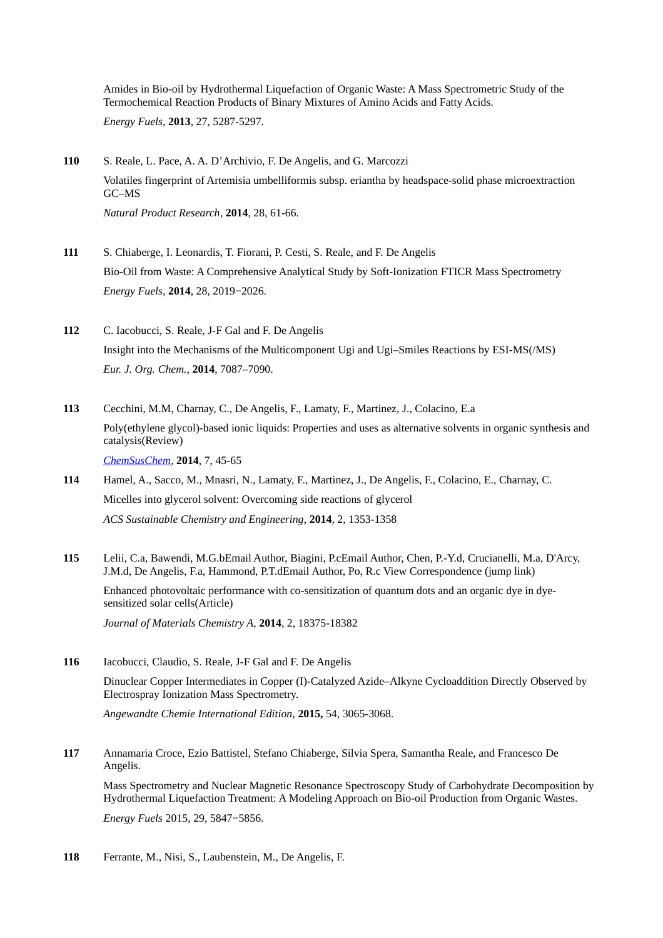Amides in Bio-oil by Hydrothermal Liquefaction of Organic Waste: A Mass Spectrometric Study of the Termochemical Reaction Products of Binary Mixtures of Amino Acids and Fatty Acids. *Energy Fuels,* **2013**, 27, 5287-5297.

- **110** S. Reale, L. Pace, A. A. D'Archivio, F. De Angelis, and G. Marcozzi Volatiles fingerprint of Artemisia umbelliformis subsp. eriantha by headspace-solid phase microextraction GC–MS *Natural Product Research*, **2014**, 28, 61-66.
- **111** S. Chiaberge, I. Leonardis, T. Fiorani, P. Cesti, S. Reale, and F. De Angelis Bio-Oil from Waste: A Comprehensive Analytical Study by Soft-Ionization FTICR Mass Spectrometry *Energy Fuels,* **2014**, 28, 2019−2026.
- **112** C. Iacobucci, S. Reale, J-F Gal and F. De Angelis Insight into the Mechanisms of the Multicomponent Ugi and Ugi–Smiles Reactions by ESI-MS(/MS) *Eur. J. Org. Chem.,* **2014**, 7087–7090.
- **113** Cecchini, M.M, Charnay, C., De Angelis, F., Lamaty, F., Martinez, J., Colacino, E.a Poly(ethylene glycol)-based ionic liquids: Properties and uses as alternative solvents in organic synthesis and catalysis(Review) *[ChemSusChem,](https://www.scopus.com/sourceid/12000154478?origin=recordpage)* **2014**, 7, 45-65
- **114** Hamel, A., Sacco, M., Mnasri, N., Lamaty, F., Martinez, J., De Angelis, F., Colacino, E., Charnay, C. Micelles into glycerol solvent: Overcoming side reactions of glycerol *ACS Sustainable Chemistry and Engineering*, **2014**, 2, 1353-1358
- **115** Lelii, C.a, Bawendi, M.G.bEmail Author, Biagini, P.cEmail Author, Chen, P.-Y.d, Crucianelli, M.a, D'Arcy, J.M.d, De Angelis, F.a, Hammond, P.T.dEmail Author, Po, R.c View Correspondence (jump link)

Enhanced photovoltaic performance with co-sensitization of quantum dots and an organic dye in dyesensitized solar cells(Article)

*Journal of Materials Chemistry A*, **2014**, 2, 18375-18382

**116** Iacobucci, Claudio, S. Reale, J-F Gal and F. De Angelis Dinuclear Copper Intermediates in Copper (I)‐Catalyzed Azide–Alkyne Cycloaddition Directly Observed by Electrospray Ionization Mass Spectrometry.

*Angewandte Chemie International Edition,* **2015,** 54, 3065-3068.

**117** Annamaria Croce, Ezio Battistel, Stefano Chiaberge, Silvia Spera, Samantha Reale, and Francesco De Angelis.

Mass Spectrometry and Nuclear Magnetic Resonance Spectroscopy Study of Carbohydrate Decomposition by Hydrothermal Liquefaction Treatment: A Modeling Approach on Bio-oil Production from Organic Wastes.

*Energy Fuels* 2015, 29, 5847−5856.

**118** Ferrante, M., Nisi, S., Laubenstein, M., De Angelis, F.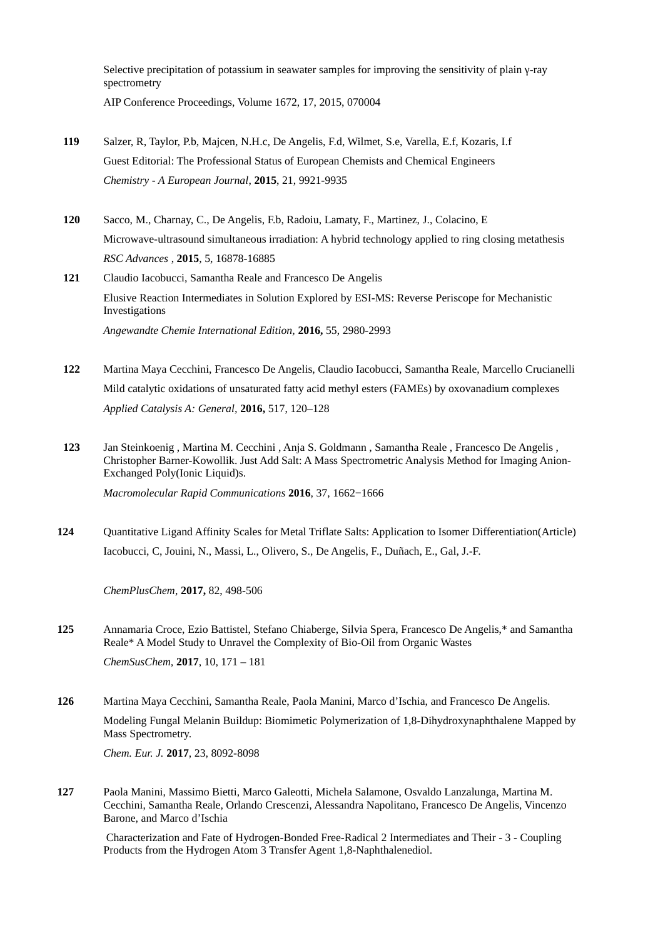Selective precipitation of potassium in seawater samples for improving the sensitivity of plain γ-ray spectrometry

AIP Conference Proceedings, Volume 1672, 17, 2015, 070004

- **119** Salzer, R, Taylor, P.b, Majcen, N.H.c, De Angelis, F.d, Wilmet, S.e, Varella, E.f, Kozaris, I.f Guest Editorial: The Professional Status of European Chemists and Chemical Engineers *Chemistry - A European Journal*, **2015**, 21, 9921-9935
- **120** Sacco, M., Charnay, C., De Angelis, F.b, Radoiu, Lamaty, F., Martinez, J., Colacino, E Microwave-ultrasound simultaneous irradiation: A hybrid technology applied to ring closing metathesis *RSC Advances* , **2015**, 5, 16878-16885
- **121** Claudio Iacobucci, Samantha Reale and Francesco De Angelis Elusive Reaction Intermediates in Solution Explored by ESI-MS: Reverse Periscope for Mechanistic Investigations *Angewandte Chemie International Edition,* **2016,** 55, 2980-2993
- **122** Martina Maya Cecchini, Francesco De Angelis, Claudio Iacobucci, Samantha Reale, Marcello Crucianelli Mild catalytic oxidations of unsaturated fatty acid methyl esters (FAMEs) by oxovanadium complexes *Applied Catalysis A: General,* **2016,** 517, 120–128
- **123** Jan Steinkoenig , Martina M. Cecchini , Anja S. Goldmann , Samantha Reale , Francesco De Angelis , Christopher Barner-Kowollik. Just Add Salt: A Mass Spectrometric Analysis Method for Imaging Anion-Exchanged Poly(Ionic Liquid)s.

*Macromolecular Rapid Communications* **2016**, 37, 1662−1666

**124** Quantitative Ligand Affinity Scales for Metal Triflate Salts: Application to Isomer Differentiation(Article) Iacobucci, C, Jouini, N., Massi, L., Olivero, S., De Angelis, F., Duñach, E., Gal, J.-F.

*ChemPlusChem*, **2017,** 82, 498-506

**125** Annamaria Croce, Ezio Battistel, Stefano Chiaberge, Silvia Spera, Francesco De Angelis,\* and Samantha Reale\* A Model Study to Unravel the Complexity of Bio-Oil from Organic Wastes *ChemSusChem,* **2017**, 10, 171 – 181

**126** Martina Maya Cecchini, Samantha Reale, Paola Manini, Marco d'Ischia, and Francesco De Angelis. Modeling Fungal Melanin Buildup: Biomimetic Polymerization of 1,8-Dihydroxynaphthalene Mapped by Mass Spectrometry. *Chem. Eur. J.* **2017**, 23, 8092-8098

**127** Paola Manini, Massimo Bietti, Marco Galeotti, Michela Salamone, Osvaldo Lanzalunga, Martina M. Cecchini, Samantha Reale, Orlando Crescenzi, Alessandra Napolitano, Francesco De Angelis, Vincenzo Barone, and Marco d'Ischia

Characterization and Fate of Hydrogen-Bonded Free-Radical 2 Intermediates and Their - 3 - Coupling Products from the Hydrogen Atom 3 Transfer Agent 1,8-Naphthalenediol.